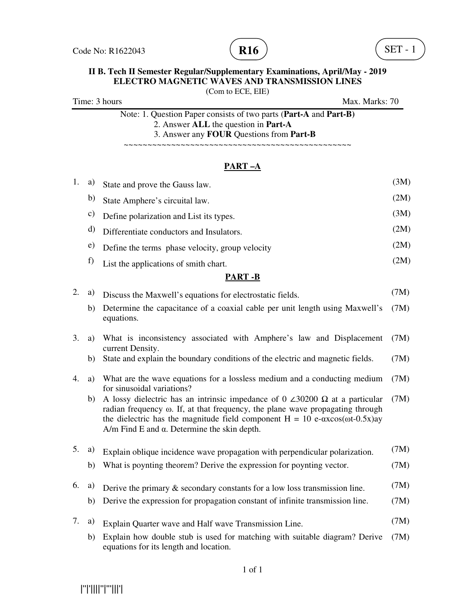

(Com to ECE, EIE)

Time: 3 hours Max. Marks: 70 Note: 1. Question Paper consists of two parts (**Part-A** and **Part-B)** 2. Answer **ALL** the question in **Part-A**

3. Answer any **FOUR** Questions from **Part-B**

~~~~~~~~~~~~~~~~~~~~~~~~~~~~~~~~~~~~~~~~~~~~~~~~

#### **PART –A**

| 1.             | a)            | State and prove the Gauss law.                                                                                                                                                                                                                                                                                                                | (3M) |  |  |
|----------------|---------------|-----------------------------------------------------------------------------------------------------------------------------------------------------------------------------------------------------------------------------------------------------------------------------------------------------------------------------------------------|------|--|--|
|                | b)            | State Amphere's circuital law.                                                                                                                                                                                                                                                                                                                | (2M) |  |  |
|                | $\mathbf{c})$ | Define polarization and List its types.                                                                                                                                                                                                                                                                                                       | (3M) |  |  |
|                | d)            | Differentiate conductors and Insulators.                                                                                                                                                                                                                                                                                                      | (2M) |  |  |
|                | e)            | Define the terms phase velocity, group velocity                                                                                                                                                                                                                                                                                               | (2M) |  |  |
|                | f)            | List the applications of smith chart.                                                                                                                                                                                                                                                                                                         | (2M) |  |  |
| <b>PART-B</b>  |               |                                                                                                                                                                                                                                                                                                                                               |      |  |  |
| 2.             | a)            | Discuss the Maxwell's equations for electrostatic fields.                                                                                                                                                                                                                                                                                     | (7M) |  |  |
|                | b)            | Determine the capacitance of a coaxial cable per unit length using Maxwell's<br>equations.                                                                                                                                                                                                                                                    | (7M) |  |  |
| 3.             | a)            | What is inconsistency associated with Amphere's law and Displacement<br>current Density.                                                                                                                                                                                                                                                      | (7M) |  |  |
|                | b)            | State and explain the boundary conditions of the electric and magnetic fields.                                                                                                                                                                                                                                                                | (7M) |  |  |
| 4.             | a)            | What are the wave equations for a lossless medium and a conducting medium<br>for sinusoidal variations?                                                                                                                                                                                                                                       | (7M) |  |  |
|                | b)            | A lossy dielectric has an intrinsic impedance of 0 $\angle 30200 \Omega$ at a particular<br>radian frequency $\omega$ . If, at that frequency, the plane wave propagating through<br>the dielectric has the magnitude field component $H = 10 e^{-\alpha x} cos(\omega t - 0.5x)$ ay<br>$A/m$ Find E and $\alpha$ . Determine the skin depth. | (7M) |  |  |
| 5 <sub>1</sub> | a)            | Explain oblique incidence wave propagation with perpendicular polarization.                                                                                                                                                                                                                                                                   | (7M) |  |  |
|                | b)            | What is poynting theorem? Derive the expression for poynting vector.                                                                                                                                                                                                                                                                          | (7M) |  |  |
| 6.             | a)            | Derive the primary $\&$ secondary constants for a low loss transmission line.                                                                                                                                                                                                                                                                 | (7M) |  |  |
|                | b)            | Derive the expression for propagation constant of infinite transmission line.                                                                                                                                                                                                                                                                 | (7M) |  |  |
| 7.             | a)            | Explain Quarter wave and Half wave Transmission Line.                                                                                                                                                                                                                                                                                         | (7M) |  |  |
|                | b)            | Explain how double stub is used for matching with suitable diagram? Derive<br>equations for its length and location.                                                                                                                                                                                                                          | (7M) |  |  |

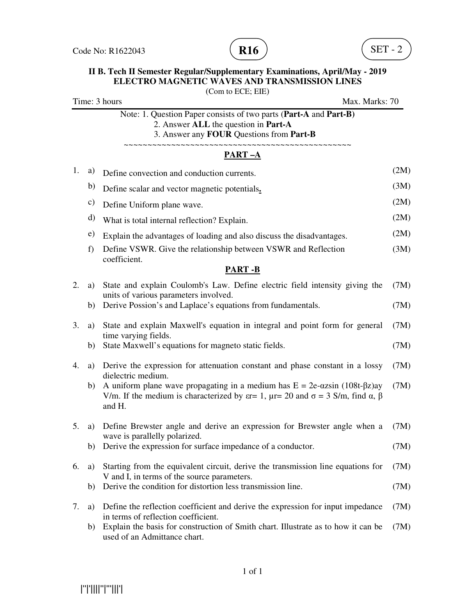



(Com to ECE; EIE) Time: 3 hours Max. Marks: 70 Note: 1. Question Paper consists of two parts (**Part-A** and **Part-B)** 2. Answer **ALL** the question in **Part-A** 3. Answer any **FOUR** Questions from **Part-B** ~~~~~~~~~~~~~~~~~~~~~~~~~~~~~~~~~~~ **PART –A**  1. a) Define convection and conduction currents. (2M) b) Define scalar and vector magnetic potentials**.** (3M) c) Define Uniform plane wave. (2M) d) What is total internal reflection? Explain. (2M) e) Explain the advantages of loading and also discuss the disadvantages.  $(2M)$ f) Define VSWR. Give the relationship between VSWR and Reflection coefficient. (3M) **PART -B** 2. a) State and explain Coulomb's Law. Define electric field intensity giving the units of various parameters involved. (7M) b) Derive Possion's and Laplace's equations from fundamentals. (7M) 3. a) State and explain Maxwell's equation in integral and point form for general time varying fields. (7M) b) State Maxwell's equations for magneto static fields. (7M) 4. a) Derive the expression for attenuation constant and phase constant in a lossy dielectric medium. (7M) b) A uniform plane wave propagating in a medium has  $E = 2e-\alpha z \sin (108t-\beta z)$  av V/m. If the medium is characterized by  $\varepsilon = 1$ ,  $\mu = 20$  and  $\sigma = 3$  S/m, find α, β and H. (7M) 5. a) Define Brewster angle and derive an expression for Brewster angle when a wave is parallelly polarized. (7M) b) Derive the expression for surface impedance of a conductor. (7M) 6. a) Starting from the equivalent circuit, derive the transmission line equations for V and I, in terms of the source parameters. (7M) b) Derive the condition for distortion less transmission line. (7M) 7. a) Define the reflection coefficient and derive the expression for input impedance in terms of reflection coefficient. (7M) b) Explain the basis for construction of Smith chart. Illustrate as to how it can be used of an Admittance chart. (7M)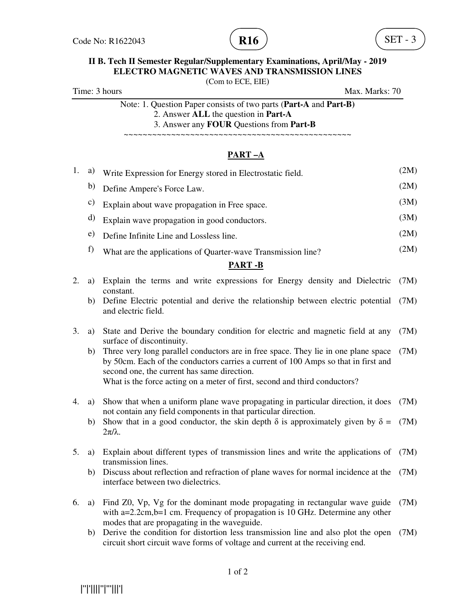

(Com to ECE, EIE)

Time: 3 hours Max. Marks: 70

Note: 1. Question Paper consists of two parts (**Part-A** and **Part-B)** 2. Answer **ALL** the question in **Part-A** 3. Answer any **FOUR** Questions from **Part-B**

~~~~~~~~~~~~~~~~~~~~~~~~~~~~~~~~~~~~~~~~~~~~~~~~

### **PART –A**

| 1.            | a)       | Write Expression for Energy stored in Electrostatic field.                                                                                                                                                                                                                                                                                                                                                           | (2M)         |  |  |
|---------------|----------|----------------------------------------------------------------------------------------------------------------------------------------------------------------------------------------------------------------------------------------------------------------------------------------------------------------------------------------------------------------------------------------------------------------------|--------------|--|--|
|               | b)       | Define Ampere's Force Law.                                                                                                                                                                                                                                                                                                                                                                                           | (2M)         |  |  |
|               | c)       | Explain about wave propagation in Free space.                                                                                                                                                                                                                                                                                                                                                                        | (3M)         |  |  |
|               | d)       | Explain wave propagation in good conductors.                                                                                                                                                                                                                                                                                                                                                                         | (3M)         |  |  |
|               | e)       | Define Infinite Line and Lossless line.                                                                                                                                                                                                                                                                                                                                                                              | (2M)         |  |  |
|               | f)       | What are the applications of Quarter-wave Transmission line?                                                                                                                                                                                                                                                                                                                                                         | (2M)         |  |  |
| <b>PART-B</b> |          |                                                                                                                                                                                                                                                                                                                                                                                                                      |              |  |  |
| 2.            | a)       | Explain the terms and write expressions for Energy density and Dielectric<br>constant.                                                                                                                                                                                                                                                                                                                               | (7M)         |  |  |
|               | b)       | Define Electric potential and derive the relationship between electric potential<br>and electric field.                                                                                                                                                                                                                                                                                                              | (7M)         |  |  |
| 3.            | a)<br>b) | State and Derive the boundary condition for electric and magnetic field at any<br>surface of discontinuity.<br>Three very long parallel conductors are in free space. They lie in one plane space<br>by 50cm. Each of the conductors carries a current of 100 Amps so that in first and<br>second one, the current has same direction.<br>What is the force acting on a meter of first, second and third conductors? | (7M)<br>(7M) |  |  |
| 4.            | a)       | Show that when a uniform plane wave propagating in particular direction, it does<br>not contain any field components in that particular direction.                                                                                                                                                                                                                                                                   | (7M)         |  |  |
|               | b)       | Show that in a good conductor, the skin depth $\delta$ is approximately given by $\delta$ =<br>$2\pi/\lambda$ .                                                                                                                                                                                                                                                                                                      | (7M)         |  |  |
| 5.            | a)       | Explain about different types of transmission lines and write the applications of<br>transmission lines.                                                                                                                                                                                                                                                                                                             | (7M)         |  |  |
|               | b)       | Discuss about reflection and refraction of plane waves for normal incidence at the<br>interface between two dielectrics.                                                                                                                                                                                                                                                                                             | (7M)         |  |  |
|               |          | 6 a) Find $70$ Vn Vg for the dominant mode propagating in rectangular wave guide $(7M)$                                                                                                                                                                                                                                                                                                                              |              |  |  |

- 6. a) Find Z0, Vp, Vg for the dominant mode propagating in rectangular wave guide with a=2.2cm, b=1 cm. Frequency of propagation is 10 GHz. Determine any other modes that are propagating in the waveguide. (7M)
	- b) Derive the condition for distortion less transmission line and also plot the open (7M) circuit short circuit wave forms of voltage and current at the receiving end.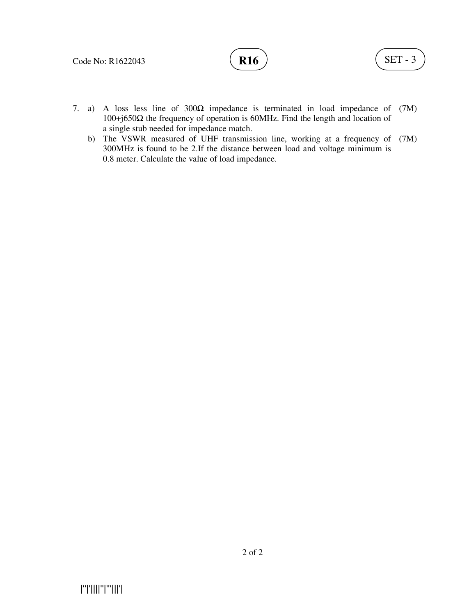

- 7. a) A loss less line of 300Ω impedance is terminated in load impedance of (7M) 100+j650Ω the frequency of operation is 60MHz. Find the length and location of a single stub needed for impedance match.
- b) The VSWR measured of UHF transmission line, working at a frequency of (7M) 300MHz is found to be 2.If the distance between load and voltage minimum is 0.8 meter. Calculate the value of load impedance.